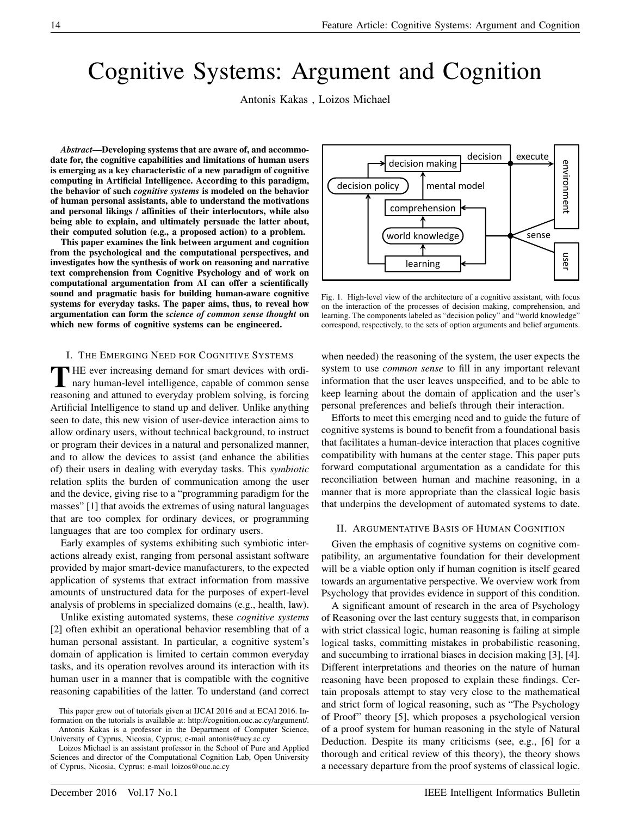# Cognitive Systems: Argument and Cognition

Antonis Kakas , Loizos Michael

*Abstract*—Developing systems that are aware of, and accommodate for, the cognitive capabilities and limitations of human users is emerging as a key characteristic of a new paradigm of cognitive computing in Artificial Intelligence. According to this paradigm, the behavior of such *cognitive systems* is modeled on the behavior of human personal assistants, able to understand the motivations and personal likings / affinities of their interlocutors, while also being able to explain, and ultimately persuade the latter about, their computed solution (e.g., a proposed action) to a problem.

This paper examines the link between argument and cognition from the psychological and the computational perspectives, and investigates how the synthesis of work on reasoning and narrative text comprehension from Cognitive Psychology and of work on computational argumentation from AI can offer a scientifically sound and pragmatic basis for building human-aware cognitive systems for everyday tasks. The paper aims, thus, to reveal how argumentation can form the *science of common sense thought* on which new forms of cognitive systems can be engineered.

#### I. THE EMERGING NEED FOR COGNITIVE SYSTEMS

THE ever increasing demand for smart devices with ordinary human-level intelligence, capable of common sense HE ever increasing demand for smart devices with ordireasoning and attuned to everyday problem solving, is forcing Artificial Intelligence to stand up and deliver. Unlike anything seen to date, this new vision of user-device interaction aims to allow ordinary users, without technical background, to instruct or program their devices in a natural and personalized manner, and to allow the devices to assist (and enhance the abilities of) their users in dealing with everyday tasks. This *symbiotic* relation splits the burden of communication among the user and the device, giving rise to a "programming paradigm for the masses" [1] that avoids the extremes of using natural languages that are too complex for ordinary devices, or programming languages that are too complex for ordinary users.

Early examples of systems exhibiting such symbiotic interactions already exist, ranging from personal assistant software provided by major smart-device manufacturers, to the expected application of systems that extract information from massive amounts of unstructured data for the purposes of expert-level analysis of problems in specialized domains (e.g., health, law).

Unlike existing automated systems, these *cognitive systems* [2] often exhibit an operational behavior resembling that of a human personal assistant. In particular, a cognitive system's domain of application is limited to certain common everyday tasks, and its operation revolves around its interaction with its human user in a manner that is compatible with the cognitive reasoning capabilities of the latter. To understand (and correct



Fig. 1. High-level view of the architecture of a cognitive assistant, with focus on the interaction of the processes of decision making, comprehension, and learning. The components labeled as "decision policy" and "world knowledge" correspond, respectively, to the sets of option arguments and belief arguments.

when needed) the reasoning of the system, the user expects the system to use *common sense* to fill in any important relevant information that the user leaves unspecified, and to be able to keep learning about the domain of application and the user's personal preferences and beliefs through their interaction.

Efforts to meet this emerging need and to guide the future of cognitive systems is bound to benefit from a foundational basis that facilitates a human-device interaction that places cognitive compatibility with humans at the center stage. This paper puts forward computational argumentation as a candidate for this reconciliation between human and machine reasoning, in a manner that is more appropriate than the classical logic basis that underpins the development of automated systems to date.

#### II. ARGUMENTATIVE BASIS OF HUMAN COGNITION

Given the emphasis of cognitive systems on cognitive compatibility, an argumentative foundation for their development will be a viable option only if human cognition is itself geared towards an argumentative perspective. We overview work from Psychology that provides evidence in support of this condition.

A significant amount of research in the area of Psychology of Reasoning over the last century suggests that, in comparison with strict classical logic, human reasoning is failing at simple logical tasks, committing mistakes in probabilistic reasoning, and succumbing to irrational biases in decision making [3], [4]. Different interpretations and theories on the nature of human reasoning have been proposed to explain these findings. Certain proposals attempt to stay very close to the mathematical and strict form of logical reasoning, such as "The Psychology of Proof" theory [5], which proposes a psychological version of a proof system for human reasoning in the style of Natural Deduction. Despite its many criticisms (see, e.g., [6] for a thorough and critical review of this theory), the theory shows a necessary departure from the proof systems of classical logic.

This paper grew out of tutorials given at IJCAI 2016 and at ECAI 2016. Information on the tutorials is available at: http://cognition.ouc.ac.cy/argument/. Antonis Kakas is a professor in the Department of Computer Science,

University of Cyprus, Nicosia, Cyprus; e-mail antonis@ucy.ac.cy Loizos Michael is an assistant professor in the School of Pure and Applied

Sciences and director of the Computational Cognition Lab, Open University of Cyprus, Nicosia, Cyprus; e-mail loizos@ouc.ac.cy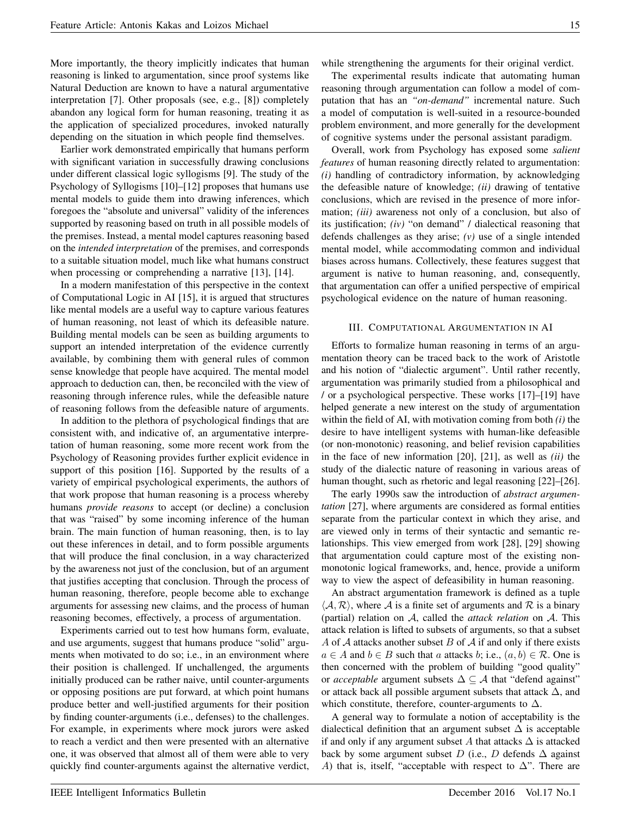More importantly, the theory implicitly indicates that human reasoning is linked to argumentation, since proof systems like Natural Deduction are known to have a natural argumentative interpretation [7]. Other proposals (see, e.g., [8]) completely abandon any logical form for human reasoning, treating it as the application of specialized procedures, invoked naturally depending on the situation in which people find themselves.

Earlier work demonstrated empirically that humans perform with significant variation in successfully drawing conclusions under different classical logic syllogisms [9]. The study of the Psychology of Syllogisms [10]–[12] proposes that humans use mental models to guide them into drawing inferences, which foregoes the "absolute and universal" validity of the inferences supported by reasoning based on truth in all possible models of the premises. Instead, a mental model captures reasoning based on the *intended interpretation* of the premises, and corresponds to a suitable situation model, much like what humans construct when processing or comprehending a narrative [13], [14].

In a modern manifestation of this perspective in the context of Computational Logic in AI [15], it is argued that structures like mental models are a useful way to capture various features of human reasoning, not least of which its defeasible nature. Building mental models can be seen as building arguments to support an intended interpretation of the evidence currently available, by combining them with general rules of common sense knowledge that people have acquired. The mental model approach to deduction can, then, be reconciled with the view of reasoning through inference rules, while the defeasible nature of reasoning follows from the defeasible nature of arguments.

In addition to the plethora of psychological findings that are consistent with, and indicative of, an argumentative interpretation of human reasoning, some more recent work from the Psychology of Reasoning provides further explicit evidence in support of this position [16]. Supported by the results of a variety of empirical psychological experiments, the authors of that work propose that human reasoning is a process whereby humans *provide reasons* to accept (or decline) a conclusion that was "raised" by some incoming inference of the human brain. The main function of human reasoning, then, is to lay out these inferences in detail, and to form possible arguments that will produce the final conclusion, in a way characterized by the awareness not just of the conclusion, but of an argument that justifies accepting that conclusion. Through the process of human reasoning, therefore, people become able to exchange arguments for assessing new claims, and the process of human reasoning becomes, effectively, a process of argumentation.

Experiments carried out to test how humans form, evaluate, and use arguments, suggest that humans produce "solid" arguments when motivated to do so; i.e., in an environment where their position is challenged. If unchallenged, the arguments initially produced can be rather naive, until counter-arguments or opposing positions are put forward, at which point humans produce better and well-justified arguments for their position by finding counter-arguments (i.e., defenses) to the challenges. For example, in experiments where mock jurors were asked to reach a verdict and then were presented with an alternative one, it was observed that almost all of them were able to very quickly find counter-arguments against the alternative verdict,

The experimental results indicate that automating human reasoning through argumentation can follow a model of computation that has an *"on-demand"* incremental nature. Such a model of computation is well-suited in a resource-bounded problem environment, and more generally for the development of cognitive systems under the personal assistant paradigm.

Overall, work from Psychology has exposed some *salient features* of human reasoning directly related to argumentation: *(i)* handling of contradictory information, by acknowledging the defeasible nature of knowledge; *(ii)* drawing of tentative conclusions, which are revised in the presence of more information; *(iii)* awareness not only of a conclusion, but also of its justification; *(iv)* "on demand" / dialectical reasoning that defends challenges as they arise; *(v)* use of a single intended mental model, while accommodating common and individual biases across humans. Collectively, these features suggest that argument is native to human reasoning, and, consequently, that argumentation can offer a unified perspective of empirical psychological evidence on the nature of human reasoning.

## III. COMPUTATIONAL ARGUMENTATION IN AI

Efforts to formalize human reasoning in terms of an argumentation theory can be traced back to the work of Aristotle and his notion of "dialectic argument". Until rather recently, argumentation was primarily studied from a philosophical and / or a psychological perspective. These works [17]–[19] have helped generate a new interest on the study of argumentation within the field of AI, with motivation coming from both *(i)* the desire to have intelligent systems with human-like defeasible (or non-monotonic) reasoning, and belief revision capabilities in the face of new information [20], [21], as well as *(ii)* the study of the dialectic nature of reasoning in various areas of human thought, such as rhetoric and legal reasoning [22]–[26].

The early 1990s saw the introduction of *abstract argumentation* [27], where arguments are considered as formal entities separate from the particular context in which they arise, and are viewed only in terms of their syntactic and semantic relationships. This view emerged from work [28], [29] showing that argumentation could capture most of the existing nonmonotonic logical frameworks, and, hence, provide a uniform way to view the aspect of defeasibility in human reasoning.

An abstract argumentation framework is defined as a tuple  $\langle A, R \rangle$ , where A is a finite set of arguments and R is a binary (partial) relation on A, called the *attack relation* on A. This attack relation is lifted to subsets of arguments, so that a subset A of  $A$  attacks another subset  $B$  of  $A$  if and only if there exists  $a \in A$  and  $b \in B$  such that a attacks b; i.e.,  $(a, b) \in \mathcal{R}$ . One is then concerned with the problem of building "good quality" or *acceptable* argument subsets  $\Delta \subseteq \mathcal{A}$  that "defend against" or attack back all possible argument subsets that attack  $\Delta$ , and which constitute, therefore, counter-arguments to  $\Delta$ .

A general way to formulate a notion of acceptability is the dialectical definition that an argument subset  $\Delta$  is acceptable if and only if any argument subset A that attacks  $\Delta$  is attacked back by some argument subset D (i.e., D defends  $\Delta$  against A) that is, itself, "acceptable with respect to  $\Delta$ ". There are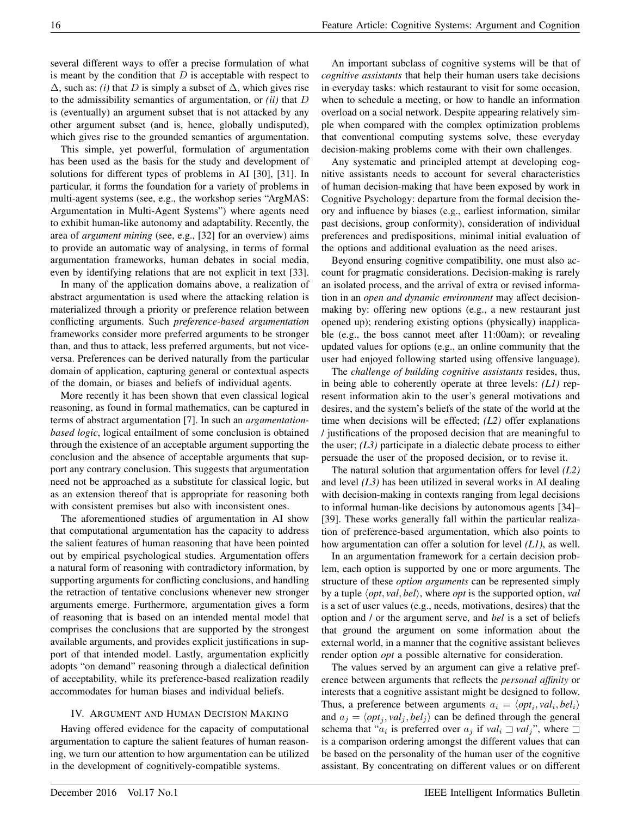several different ways to offer a precise formulation of what is meant by the condition that  $D$  is acceptable with respect to  $\Delta$ , such as: *(i)* that D is simply a subset of  $\Delta$ , which gives rise to the admissibility semantics of argumentation, or *(ii)* that D is (eventually) an argument subset that is not attacked by any other argument subset (and is, hence, globally undisputed), which gives rise to the grounded semantics of argumentation.

This simple, yet powerful, formulation of argumentation has been used as the basis for the study and development of solutions for different types of problems in AI [30], [31]. In particular, it forms the foundation for a variety of problems in multi-agent systems (see, e.g., the workshop series "ArgMAS: Argumentation in Multi-Agent Systems") where agents need to exhibit human-like autonomy and adaptability. Recently, the area of *argument mining* (see, e.g., [32] for an overview) aims to provide an automatic way of analysing, in terms of formal argumentation frameworks, human debates in social media, even by identifying relations that are not explicit in text [33].

In many of the application domains above, a realization of abstract argumentation is used where the attacking relation is materialized through a priority or preference relation between conflicting arguments. Such *preference-based argumentation* frameworks consider more preferred arguments to be stronger than, and thus to attack, less preferred arguments, but not viceversa. Preferences can be derived naturally from the particular domain of application, capturing general or contextual aspects of the domain, or biases and beliefs of individual agents.

More recently it has been shown that even classical logical reasoning, as found in formal mathematics, can be captured in terms of abstract argumentation [7]. In such an *argumentationbased logic*, logical entailment of some conclusion is obtained through the existence of an acceptable argument supporting the conclusion and the absence of acceptable arguments that support any contrary conclusion. This suggests that argumentation need not be approached as a substitute for classical logic, but as an extension thereof that is appropriate for reasoning both with consistent premises but also with inconsistent ones.

The aforementioned studies of argumentation in AI show that computational argumentation has the capacity to address the salient features of human reasoning that have been pointed out by empirical psychological studies. Argumentation offers a natural form of reasoning with contradictory information, by supporting arguments for conflicting conclusions, and handling the retraction of tentative conclusions whenever new stronger arguments emerge. Furthermore, argumentation gives a form of reasoning that is based on an intended mental model that comprises the conclusions that are supported by the strongest available arguments, and provides explicit justifications in support of that intended model. Lastly, argumentation explicitly adopts "on demand" reasoning through a dialectical definition of acceptability, while its preference-based realization readily accommodates for human biases and individual beliefs.

## IV. ARGUMENT AND HUMAN DECISION MAKING

Having offered evidence for the capacity of computational argumentation to capture the salient features of human reasoning, we turn our attention to how argumentation can be utilized in the development of cognitively-compatible systems.

An important subclass of cognitive systems will be that of *cognitive assistants* that help their human users take decisions in everyday tasks: which restaurant to visit for some occasion, when to schedule a meeting, or how to handle an information overload on a social network. Despite appearing relatively simple when compared with the complex optimization problems that conventional computing systems solve, these everyday decision-making problems come with their own challenges.

Any systematic and principled attempt at developing cognitive assistants needs to account for several characteristics of human decision-making that have been exposed by work in Cognitive Psychology: departure from the formal decision theory and influence by biases (e.g., earliest information, similar past decisions, group conformity), consideration of individual preferences and predispositions, minimal initial evaluation of the options and additional evaluation as the need arises.

Beyond ensuring cognitive compatibility, one must also account for pragmatic considerations. Decision-making is rarely an isolated process, and the arrival of extra or revised information in an *open and dynamic environment* may affect decisionmaking by: offering new options (e.g., a new restaurant just opened up); rendering existing options (physically) inapplicable (e.g., the boss cannot meet after 11:00am); or revealing updated values for options (e.g., an online community that the user had enjoyed following started using offensive language).

The *challenge of building cognitive assistants* resides, thus, in being able to coherently operate at three levels: *(L1)* represent information akin to the user's general motivations and desires, and the system's beliefs of the state of the world at the time when decisions will be effected; *(L2)* offer explanations / justifications of the proposed decision that are meaningful to the user; *(L3)* participate in a dialectic debate process to either persuade the user of the proposed decision, or to revise it.

The natural solution that argumentation offers for level *(L2)* and level *(L3)* has been utilized in several works in AI dealing with decision-making in contexts ranging from legal decisions to informal human-like decisions by autonomous agents [34]– [39]. These works generally fall within the particular realization of preference-based argumentation, which also points to how argumentation can offer a solution for level *(L1)*, as well.

In an argumentation framework for a certain decision problem, each option is supported by one or more arguments. The structure of these *option arguments* can be represented simply by a tuple  $\langle opt, val, bel \rangle$ , where *opt* is the supported option, *val* is a set of user values (e.g., needs, motivations, desires) that the option and / or the argument serve, and *bel* is a set of beliefs that ground the argument on some information about the external world, in a manner that the cognitive assistant believes render option *opt* a possible alternative for consideration.

The values served by an argument can give a relative preference between arguments that reflects the *personal affinity* or interests that a cognitive assistant might be designed to follow. Thus, a preference between arguments  $a_i = \langle opt_i, val_i, bel_i \rangle$ and  $a_j = \langle opt_j, val_j, bel_j \rangle$  can be defined through the general schema that " $a_i$  is preferred over  $a_j$  if  $val_i \rightrightarrows val_j$ ", where  $\rightrightarrows$ is a comparison ordering amongst the different values that can be based on the personality of the human user of the cognitive assistant. By concentrating on different values or on different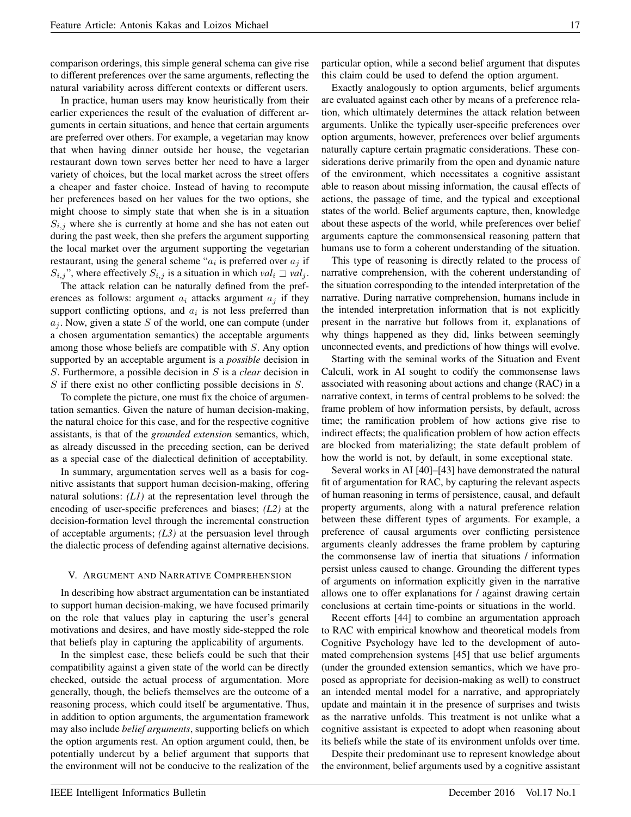comparison orderings, this simple general schema can give rise to different preferences over the same arguments, reflecting the natural variability across different contexts or different users.

In practice, human users may know heuristically from their earlier experiences the result of the evaluation of different arguments in certain situations, and hence that certain arguments are preferred over others. For example, a vegetarian may know that when having dinner outside her house, the vegetarian restaurant down town serves better her need to have a larger variety of choices, but the local market across the street offers a cheaper and faster choice. Instead of having to recompute her preferences based on her values for the two options, she might choose to simply state that when she is in a situation  $S_{i,j}$  where she is currently at home and she has not eaten out during the past week, then she prefers the argument supporting the local market over the argument supporting the vegetarian restaurant, using the general scheme " $a_i$  is preferred over  $a_j$  if  $S_{i,j}$ ", where effectively  $S_{i,j}$  is a situation in which  $val_i \supseteq val_j$ .

The attack relation can be naturally defined from the preferences as follows: argument  $a_i$  attacks argument  $a_j$  if they support conflicting options, and  $a_i$  is not less preferred than  $a_i$ . Now, given a state S of the world, one can compute (under a chosen argumentation semantics) the acceptable arguments among those whose beliefs are compatible with S. Any option supported by an acceptable argument is a *possible* decision in S. Furthermore, a possible decision in S is a *clear* decision in  $S$  if there exist no other conflicting possible decisions in  $S$ .

To complete the picture, one must fix the choice of argumentation semantics. Given the nature of human decision-making, the natural choice for this case, and for the respective cognitive assistants, is that of the *grounded extension* semantics, which, as already discussed in the preceding section, can be derived as a special case of the dialectical definition of acceptability.

In summary, argumentation serves well as a basis for cognitive assistants that support human decision-making, offering natural solutions: *(L1)* at the representation level through the encoding of user-specific preferences and biases; *(L2)* at the decision-formation level through the incremental construction of acceptable arguments; *(L3)* at the persuasion level through the dialectic process of defending against alternative decisions.

## V. ARGUMENT AND NARRATIVE COMPREHENSION

In describing how abstract argumentation can be instantiated to support human decision-making, we have focused primarily on the role that values play in capturing the user's general motivations and desires, and have mostly side-stepped the role that beliefs play in capturing the applicability of arguments.

In the simplest case, these beliefs could be such that their compatibility against a given state of the world can be directly checked, outside the actual process of argumentation. More generally, though, the beliefs themselves are the outcome of a reasoning process, which could itself be argumentative. Thus, in addition to option arguments, the argumentation framework may also include *belief arguments*, supporting beliefs on which the option arguments rest. An option argument could, then, be potentially undercut by a belief argument that supports that the environment will not be conducive to the realization of the particular option, while a second belief argument that disputes this claim could be used to defend the option argument.

Exactly analogously to option arguments, belief arguments are evaluated against each other by means of a preference relation, which ultimately determines the attack relation between arguments. Unlike the typically user-specific preferences over option arguments, however, preferences over belief arguments naturally capture certain pragmatic considerations. These considerations derive primarily from the open and dynamic nature of the environment, which necessitates a cognitive assistant able to reason about missing information, the causal effects of actions, the passage of time, and the typical and exceptional states of the world. Belief arguments capture, then, knowledge about these aspects of the world, while preferences over belief arguments capture the commonsensical reasoning pattern that humans use to form a coherent understanding of the situation.

This type of reasoning is directly related to the process of narrative comprehension, with the coherent understanding of the situation corresponding to the intended interpretation of the narrative. During narrative comprehension, humans include in the intended interpretation information that is not explicitly present in the narrative but follows from it, explanations of why things happened as they did, links between seemingly unconnected events, and predictions of how things will evolve.

Starting with the seminal works of the Situation and Event Calculi, work in AI sought to codify the commonsense laws associated with reasoning about actions and change (RAC) in a narrative context, in terms of central problems to be solved: the frame problem of how information persists, by default, across time; the ramification problem of how actions give rise to indirect effects; the qualification problem of how action effects are blocked from materializing; the state default problem of how the world is not, by default, in some exceptional state.

Several works in AI [40]–[43] have demonstrated the natural fit of argumentation for RAC, by capturing the relevant aspects of human reasoning in terms of persistence, causal, and default property arguments, along with a natural preference relation between these different types of arguments. For example, a preference of causal arguments over conflicting persistence arguments cleanly addresses the frame problem by capturing the commonsense law of inertia that situations / information persist unless caused to change. Grounding the different types of arguments on information explicitly given in the narrative allows one to offer explanations for / against drawing certain conclusions at certain time-points or situations in the world.

Recent efforts [44] to combine an argumentation approach to RAC with empirical knowhow and theoretical models from Cognitive Psychology have led to the development of automated comprehension systems [45] that use belief arguments (under the grounded extension semantics, which we have proposed as appropriate for decision-making as well) to construct an intended mental model for a narrative, and appropriately update and maintain it in the presence of surprises and twists as the narrative unfolds. This treatment is not unlike what a cognitive assistant is expected to adopt when reasoning about its beliefs while the state of its environment unfolds over time.

Despite their predominant use to represent knowledge about the environment, belief arguments used by a cognitive assistant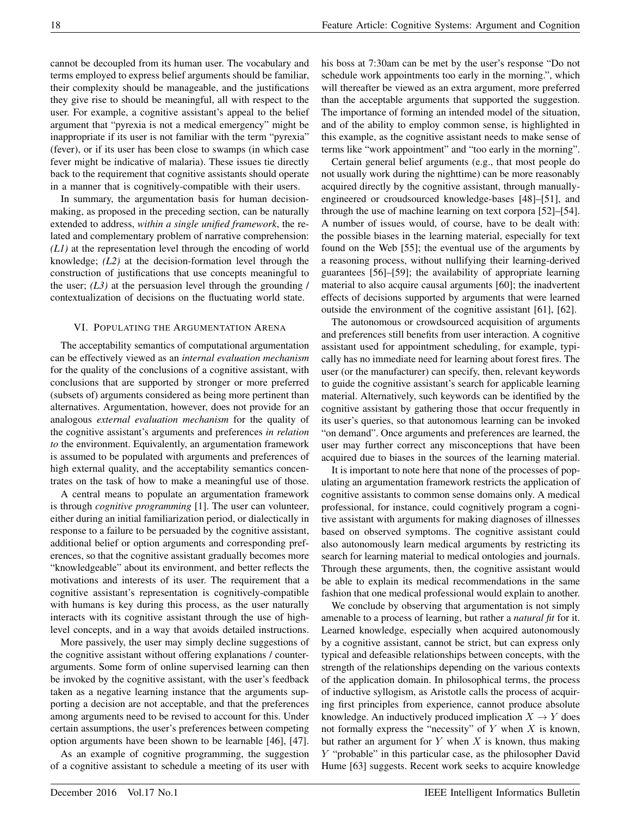cannot be decoupled from its human user. The vocabulary and terms employed to express belief arguments should be familiar, their complexity should be manageable, and the justifications they give rise to should be meaningful, all with respect to the user. For example, a cognitive assistant's appeal to the belief argument that "pyrexia is not a medical emergency" might be inappropriate if its user is not familiar with the term "pyrexia" (fever), or if its user has been close to swamps (in which case fever might be indicative of malaria). These issues tie directly back to the requirement that cognitive assistants should operate in a manner that is cognitively-compatible with their users.

In summary, the argumentation basis for human decisionmaking, as proposed in the preceding section, can be naturally extended to address, *within a single unified framework*, the related and complementary problem of narrative comprehension: *(L1)* at the representation level through the encoding of world knowledge; *(L2)* at the decision-formation level through the construction of justifications that use concepts meaningful to the user;  $(L3)$  at the persuasion level through the grounding / contextualization of decisions on the fluctuating world state.

## VI. POPULATING THE ARGUMENTATION ARENA

The acceptability semantics of computational argumentation can be effectively viewed as an *internal evaluation mechanism* for the quality of the conclusions of a cognitive assistant, with conclusions that are supported by stronger or more preferred (subsets of) arguments considered as being more pertinent than alternatives. Argumentation, however, does not provide for an analogous *external evaluation mechanism* for the quality of the cognitive assistant's arguments and preferences *in relation to* the environment. Equivalently, an argumentation framework is assumed to be populated with arguments and preferences of high external quality, and the acceptability semantics concentrates on the task of how to make a meaningful use of those.

A central means to populate an argumentation framework is through *cognitive programming* [1]. The user can volunteer, either during an initial familiarization period, or dialectically in response to a failure to be persuaded by the cognitive assistant, additional belief or option arguments and corresponding preferences, so that the cognitive assistant gradually becomes more "knowledgeable" about its environment, and better reflects the motivations and interests of its user. The requirement that a cognitive assistant's representation is cognitively-compatible with humans is key during this process, as the user naturally interacts with its cognitive assistant through the use of highlevel concepts, and in a way that avoids detailed instructions.

More passively, the user may simply decline suggestions of the cognitive assistant without offering explanations / counterarguments. Some form of online supervised learning can then be invoked by the cognitive assistant, with the user's feedback taken as a negative learning instance that the arguments supporting a decision are not acceptable, and that the preferences among arguments need to be revised to account for this. Under certain assumptions, the user's preferences between competing option arguments have been shown to be learnable [46], [47].

As an example of cognitive programming, the suggestion of a cognitive assistant to schedule a meeting of its user with his boss at 7:30am can be met by the user's response "Do not schedule work appointments too early in the morning.", which will thereafter be viewed as an extra argument, more preferred than the acceptable arguments that supported the suggestion. The importance of forming an intended model of the situation, and of the ability to employ common sense, is highlighted in this example, as the cognitive assistant needs to make sense of terms like "work appointment" and "too early in the morning".

Certain general belief arguments (e.g., that most people do not usually work during the nighttime) can be more reasonably acquired directly by the cognitive assistant, through manuallyengineered or croudsourced knowledge-bases [48]–[51], and through the use of machine learning on text corpora [52]–[54]. A number of issues would, of course, have to be dealt with: the possible biases in the learning material, especially for text found on the Web [55]; the eventual use of the arguments by a reasoning process, without nullifying their learning-derived guarantees [56]–[59]; the availability of appropriate learning material to also acquire causal arguments [60]; the inadvertent effects of decisions supported by arguments that were learned outside the environment of the cognitive assistant [61], [62].

The autonomous or crowdsourced acquisition of arguments and preferences still benefits from user interaction. A cognitive assistant used for appointment scheduling, for example, typically has no immediate need for learning about forest fires. The user (or the manufacturer) can specify, then, relevant keywords to guide the cognitive assistant's search for applicable learning material. Alternatively, such keywords can be identified by the cognitive assistant by gathering those that occur frequently in its user's queries, so that autonomous learning can be invoked "on demand". Once arguments and preferences are learned, the user may further correct any misconceptions that have been acquired due to biases in the sources of the learning material.

It is important to note here that none of the processes of populating an argumentation framework restricts the application of cognitive assistants to common sense domains only. A medical professional, for instance, could cognitively program a cognitive assistant with arguments for making diagnoses of illnesses based on observed symptoms. The cognitive assistant could also autonomously learn medical arguments by restricting its search for learning material to medical ontologies and journals. Through these arguments, then, the cognitive assistant would be able to explain its medical recommendations in the same fashion that one medical professional would explain to another.

We conclude by observing that argumentation is not simply amenable to a process of learning, but rather a *natural fit* for it. Learned knowledge, especially when acquired autonomously by a cognitive assistant, cannot be strict, but can express only typical and defeasible relationships between concepts, with the strength of the relationships depending on the various contexts of the application domain. In philosophical terms, the process of inductive syllogism, as Aristotle calls the process of acquiring first principles from experience, cannot produce absolute knowledge. An inductively produced implication  $X \to Y$  does not formally express the "necessity" of  $Y$  when  $X$  is known, but rather an argument for  $Y$  when  $X$  is known, thus making Y "probable" in this particular case, as the philosopher David Hume [63] suggests. Recent work seeks to acquire knowledge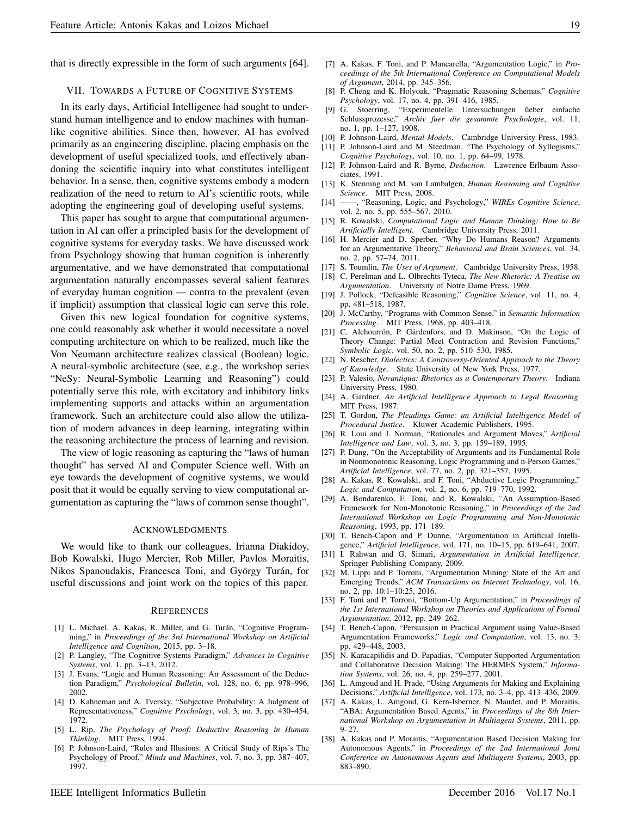that is directly expressible in the form of such arguments [64].

#### VII. TOWARDS A FUTURE OF COGNITIVE SYSTEMS

In its early days, Artificial Intelligence had sought to understand human intelligence and to endow machines with humanlike cognitive abilities. Since then, however, AI has evolved primarily as an engineering discipline, placing emphasis on the development of useful specialized tools, and effectively abandoning the scientific inquiry into what constitutes intelligent behavior. In a sense, then, cognitive systems embody a modern realization of the need to return to AI's scientific roots, while adopting the engineering goal of developing useful systems.

This paper has sought to argue that computational argumentation in AI can offer a principled basis for the development of cognitive systems for everyday tasks. We have discussed work from Psychology showing that human cognition is inherently argumentative, and we have demonstrated that computational argumentation naturally encompasses several salient features of everyday human cognition — contra to the prevalent (even if implicit) assumption that classical logic can serve this role.

Given this new logical foundation for cognitive systems, one could reasonably ask whether it would necessitate a novel computing architecture on which to be realized, much like the Von Neumann architecture realizes classical (Boolean) logic. A neural-symbolic architecture (see, e.g., the workshop series "NeSy: Neural-Symbolic Learning and Reasoning") could potentially serve this role, with excitatory and inhibitory links implementing supports and attacks within an argumentation framework. Such an architecture could also allow the utilization of modern advances in deep learning, integrating within the reasoning architecture the process of learning and revision.

The view of logic reasoning as capturing the "laws of human thought" has served AI and Computer Science well. With an eye towards the development of cognitive systems, we would posit that it would be equally serving to view computational argumentation as capturing the "laws of common sense thought".

#### ACKNOWLEDGMENTS

We would like to thank our colleagues, Irianna Diakidoy, Bob Kowalski, Hugo Mercier, Rob Miller, Pavlos Moraitis, Nikos Spanoudakis, Francesca Toni, and György Turán, for useful discussions and joint work on the topics of this paper.

#### **REFERENCES**

- [1] L. Michael, A. Kakas, R. Miller, and G. Turán, "Cognitive Programming," in *Proceedings of the 3rd International Workshop on Artificial Intelligence and Cognition*, 2015, pp. 3–18.
- [2] P. Langley, "The Cognitive Systems Paradigm," *Advances in Cognitive Systems*, vol. 1, pp. 3–13, 2012.
- [3] J. Evans, "Logic and Human Reasoning: An Assessment of the Deduction Paradigm," *Psychological Bulletin*, vol. 128, no. 6, pp. 978–996, 2002.
- [4] D. Kahneman and A. Tversky, "Subjective Probability: A Judgment of Representativeness," *Cognitive Psychology*, vol. 3, no. 3, pp. 430–454, 1972.
- [5] L. Rip, *The Psychology of Proof: Deductive Reasoning in Human Thinking*. MIT Press, 1994.
- [6] P. Johnson-Laird, "Rules and Illusions: A Critical Study of Rips's The Psychology of Proof," *Minds and Machines*, vol. 7, no. 3, pp. 387–407, 1997.
- [7] A. Kakas, F. Toni, and P. Mancarella, "Argumentation Logic," in *Proceedings of the 5th International Conference on Computational Models of Argument*, 2014, pp. 345–356.
- [8] P. Cheng and K. Holyoak, "Pragmatic Reasoning Schemas," *Cognitive Psychology*, vol. 17, no. 4, pp. 391–416, 1985.
- [9] G. Stoerring, "Experimentelle Untersuchungen üeber einfache Schlussprozesse," *Archiv fuer die gesammte Psychologie*, vol. 11, no. 1, pp. 1–127, 1908.
- [10] P. Johnson-Laird, *Mental Models*. Cambridge University Press, 1983.
- [11] P. Johnson-Laird and M. Steedman, "The Psychology of Syllogisms," *Cognitive Psychology*, vol. 10, no. 1, pp. 64–99, 1978.
- [12] P. Johnson-Laird and R. Byrne, *Deduction*. Lawrence Erlbaum Associates, 1991.
- [13] K. Stenning and M. van Lambalgen, *Human Reasoning and Cognitive Science*. MIT Press, 2008.
- [14] ——, "Reasoning, Logic, and Psychology," *WIREs Cognitive Science*, vol. 2, no. 5, pp. 555–567, 2010.
- [15] R. Kowalski, *Computational Logic and Human Thinking: How to Be Artificially Intelligent*. Cambridge University Press, 2011.
- [16] H. Mercier and D. Sperber, "Why Do Humans Reason? Arguments for an Argumentative Theory," *Behavioral and Brain Sciences*, vol. 34, no. 2, pp. 57–74, 2011.
- [17] S. Toumlin, *The Uses of Argument*. Cambridge University Press, 1958. [18] C. Perelman and L. Olbrechts-Tyteca, *The New Rhetoric: A Treatise on*
- *Argumentation*. University of Notre Dame Press, 1969.
- [19] J. Pollock, "Defeasible Reasoning," *Cognitive Science*, vol. 11, no. 4, pp. 481–518, 1987.
- [20] J. McCarthy, "Programs with Common Sense," in *Semantic Information Processing*. MIT Press, 1968, pp. 403–418.
- [21] C. Alchourrón, P. Gärdenfors, and D. Makinson, "On the Logic of Theory Change: Partial Meet Contraction and Revision Functions," *Symbolic Logic*, vol. 50, no. 2, pp. 510–530, 1985.
- [22] N. Rescher, *Dialectics: A Controversy-Oriented Approach to the Theory of Knowledge*. State University of New York Press, 1977.
- [23] P. Valesio, *Novantiqua: Rhetorics as a Contemporary Theory*. Indiana University Press, 1980.
- [24] A. Gardner, *An Artificial Intelligence Approach to Legal Reasoning*. MIT Press, 1987.
- [25] T. Gordon, *The Pleadings Game: an Artificial Intelligence Model of Procedural Justice*. Kluwer Academic Publishers, 1995.
- [26] R. Loui and J. Norman, "Rationales and Argument Moves," *Artificial Intelligence and Law*, vol. 3, no. 3, pp. 159–189, 1995.
- [27] P. Dung, "On the Acceptability of Arguments and its Fundamental Role in Nonmonotonic Reasoning, Logic Programming and n-Person Games," *Artificial Intelligence*, vol. 77, no. 2, pp. 321–357, 1995.
- [28] A. Kakas, R. Kowalski, and F. Toni, "Abductive Logic Programming," *Logic and Computation*, vol. 2, no. 6, pp. 719–770, 1992.
- [29] A. Bondarenko, F. Toni, and R. Kowalski, "An Assumption-Based Framework for Non-Monotonic Reasoning," in *Proceedings of the 2nd International Workshop on Logic Programming and Non-Monotonic Reasoning*, 1993, pp. 171–189.
- [30] T. Bench-Capon and P. Dunne, "Argumentation in Artificial Intelligence," *Artificial Intelligence*, vol. 171, no. 10–15, pp. 619–641, 2007.
- [31] I. Rahwan and G. Simari, *Argumentation in Artificial Intelligence*. Springer Publishing Company, 2009.
- [32] M. Lippi and P. Torroni, "Argumentation Mining: State of the Art and Emerging Trends," *ACM Transactions on Internet Technology*, vol. 16, no. 2, pp. 10:1–10:25, 2016.
- [33] F. Toni and P. Torroni, "Bottom-Up Argumentation," in *Proceedings of the 1st International Workshop on Theories and Applications of Formal Argumentation*, 2012, pp. 249–262.
- [34] T. Bench-Capon, "Persuasion in Practical Argument using Value-Based Argumentation Frameworks," *Logic and Computation*, vol. 13, no. 3, pp. 429–448, 2003.
- [35] N. Karacapilidis and D. Papadias, "Computer Supported Argumentation and Collaborative Decision Making: The HERMES System," *Information Systems*, vol. 26, no. 4, pp. 259–277, 2001.
- [36] L. Amgoud and H. Prade, "Using Arguments for Making and Explaining Decisions," *Artificial Intelligence*, vol. 173, no. 3–4, pp. 413–436, 2009.
- [37] A. Kakas, L. Amgoud, G. Kern-Isberner, N. Maudet, and P. Moraitis, "ABA: Argumentation Based Agents," in *Proceedings of the 8th International Workshop on Argumentation in Multiagent Systems*, 2011, pp.  $9 - 27$ .
- [38] A. Kakas and P. Moraitis, "Argumentation Based Decision Making for Autonomous Agents," in *Proceedings of the 2nd International Joint Conference on Autonomous Agents and Multiagent Systems*, 2003, pp. 883–890.